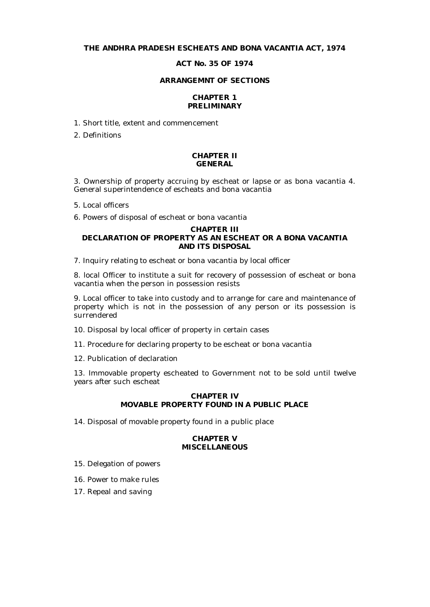# **THE ANDHRA PRADESH ESCHEATS AND BONA VACANTIA ACT, 1974**

# **ACT No. 35 OF 1974**

#### **ARRANGEMNT OF SECTIONS**

# **CHAPTER 1 PRELIMINARY**

1. Short title, extent and commencement

2. Definitions

#### **CHAPTER II GENERAL**

3. Ownership of property accruing by escheat or lapse or as bona vacantia 4. General superintendence of escheats and bona vacantia

5. Local officers

6. Powers of disposal of escheat or bona vacantia

# **CHAPTER III DECLARATION OF PROPERTY AS AN ESCHEAT OR A BONA VACANTIA AND ITS DISPOSAL**

7. Inquiry relating to escheat or bona vacantia by local officer

8. local Officer to institute a suit for recovery of possession of escheat or bona vacantia when the person in possession resists

9. Local officer to take into custody and to arrange for care and maintenance of property which is not in the possession of any person or its possession is surrendered

- 10. Disposal by local officer of property in certain cases
- 11. Procedure for declaring property to be escheat or bona vacantia
- 12. Publication of declaration

13. Immovable property escheated to Government not to be sold until twelve years after such escheat

# **CHAPTER IV MOVABLE PROPERTY FOUND IN A PUBLIC PLACE**

14. Disposal of movable property found in a public place

# **CHAPTER V MISCELLANEOUS**

- 15. Delegation of powers
- 16. Power to make rules
- 17. Repeal and saving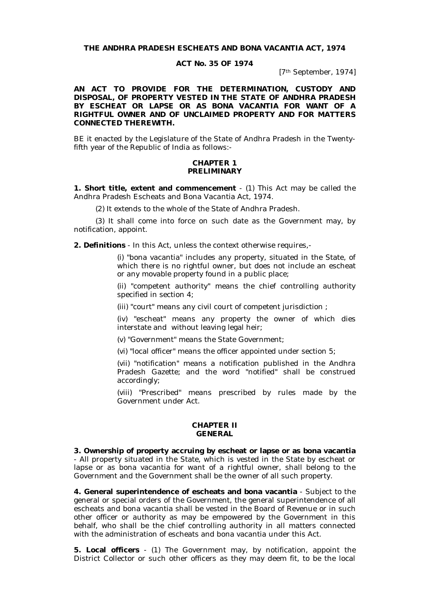**THE ANDHRA PRADESH ESCHEATS AND BONA VACANTIA ACT, 1974**

#### **ACT No. 35 OF 1974**

[7th September, 1974]

**AN ACT TO PROVIDE FOR THE DETERMINATION, CUSTODY AND DISPOSAL, OF PROPERTY VESTED IN THE STATE OF ANDHRA PRADESH BY ESCHEAT OR LAPSE OR AS BONA VACANTIA FOR WANT OF A RIGHTFUL OWNER AND OF UNCLAIMED PROPERTY AND FOR MATTERS CONNECTED THEREWITH.**

BE it enacted by the Legislature of the State of Andhra Pradesh in the Twentyfifth year of the Republic of India as follows:-

#### **CHAPTER 1 PRELIMINARY**

**1. Short title, extent and commencement** - (1) This Act may be called the Andhra Pradesh Escheats and Bona Vacantia Act, 1974.

(2) It extends to the whole of the State of Andhra Pradesh.

(3) It shall come into force on such date as the Government may, by notification, appoint.

**2. Definitions** - In this Act, unless the context otherwise requires,-

(i) "bona vacantia" includes any property, situated in the State, of which there is no rightful owner, but does not include an escheat or any movable property found in a public place;

(ii) "competent authority" means the chief controlling authority specified in section 4;

(iii) "court" means any civil court of competent jurisdiction ;

(iv) "escheat" means any property the owner of which dies interstate and without leaving legal heir;

(v) "Government" means the State Government;

(vi) "local officer" means the officer appointed under section 5;

(vii) "notification" means a notification published in the Andhra Pradesh Gazette; and the word "notified" shall be construed accordingly;

(viii) "Prescribed" means prescribed by rules made by the Government under Act.

#### **CHAPTER II GENERAL**

**3. Ownership of property accruing by escheat or lapse or as bona vacantia** - All property situated in the State, which is vested in the State by escheat or lapse or as bona vacantia for want of a rightful owner, shall belong to the Government and the Government shall be the owner of all such property.

**4. General superintendence of escheats and bona vacantia** - Subject to the general or special orders of the Government, the general superintendence of all escheats and bona vacantia shall be vested in the Board of Revenue or in such other officer or authority as may be empowered by the Government in this behalf, who shall be the chief controlling authority in all matters connected with the administration of escheats and bona vacantia under this Act.

**5. Local officers** - (1) The Government may, by notification, appoint the District Collector or such other officers as they may deem fit, to be the local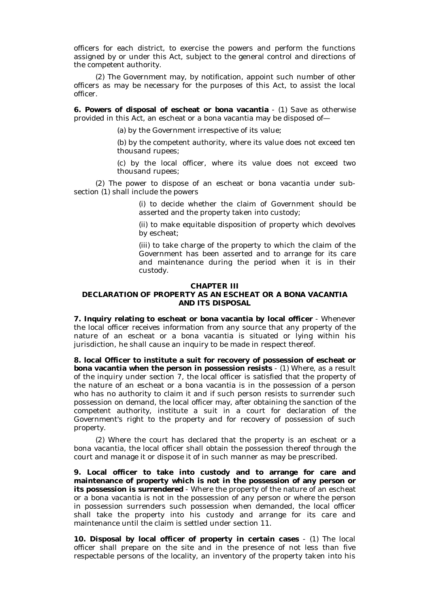officers for each district, to exercise the powers and perform the functions assigned by or under this Act, subject to the general control and directions of the competent authority.

(2) The Government may, by notification, appoint such number of other officers as may be necessary for the purposes of this Act, to assist the local officer.

**6. Powers of disposal of escheat or bona vacantia** - (1) Save as otherwise provided in this Act, an escheat or a bona vacantia may be disposed of—

(a) by the Government irrespective of its value;

(b) by the competent authority, where its value does not exceed ten thousand rupees;

(c) by the local officer, where its value does not exceed two thousand rupees;

(2) The power to dispose of an escheat or bona vacantia under subsection (1) shall include the powers

> (i) to decide whether the claim of Government should be asserted and the property taken into custody;

> (ii) to make equitable disposition of property which devolves by escheat;

> (iii) to take charge of the property to which the claim of the Government has been asserted and to arrange for its care and maintenance during the period when it is in their custody.

#### **CHAPTER III**

### **DECLARATION OF PROPERTY AS AN ESCHEAT OR A BONA VACANTIA AND ITS DISPOSAL**

**7. Inquiry relating to escheat or bona vacantia by local officer** - Whenever the local officer receives information from any source that any property of the nature of an escheat or a bona vacantia is situated or lying within his jurisdiction, he shall cause an inquiry to be made in respect thereof.

**8. local Officer to institute a suit for recovery of possession of escheat or bona vacantia when the person in possession resists** - (1) Where, as a result of the inquiry under section 7, the local officer is satisfied that the property of the nature of an escheat or a bona vacantia is in the possession of a person who has no authority to claim it and if such person resists to surrender such possession on demand, the local officer may, after obtaining the sanction of the competent authority, institute a suit in a court for declaration of the Government's right to the property and for recovery of possession of such property.

(2) Where the court has declared that the property is an escheat or a bona vacantia, the local officer shall obtain the possession thereof through the court and manage it or dispose it of in such manner as may be prescribed.

**9. Local officer to take into custody and to arrange for care and maintenance of property which is not in the possession of any person or its possession is surrendered** - Where the property of the nature of an escheat or a bona vacantia is not in the possession of any person or where the person in possession surrenders such possession when demanded, the local officer shall take the property into his custody and arrange for its care and maintenance until the claim is settled under section 11.

**10. Disposal by local officer of property in certain cases** - (1) The local officer shall prepare on the site and in the presence of not less than five respectable persons of the locality, an inventory of the property taken into his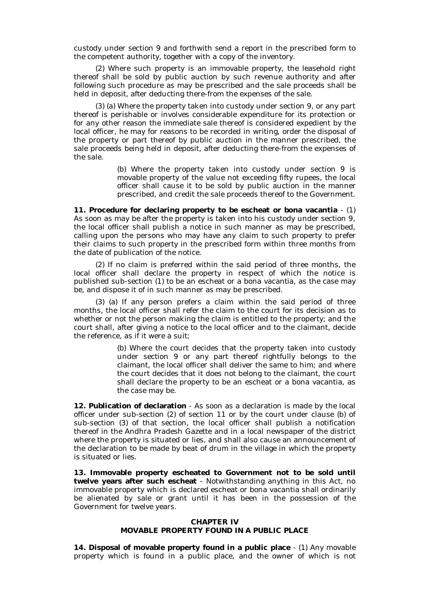custody under section 9 and forthwith send a report in the prescribed form to the competent authority, together with a copy of the inventory.

(2) Where such property is an immovable property, the leasehold right thereof shall be sold by public auction by such revenue authority and after following such procedure as may be prescribed and the sale proceeds shall be held in deposit, after deducting there-from the expenses of the sale.

(3) (a) Where the property taken into custody under section 9, or any part thereof is perishable or involves considerable expenditure for its protection or for any other reason the immediate sale thereof is considered expedient by the local officer, he may for reasons to be recorded in writing, order the disposal of the property or part thereof by public auction in the manner prescribed, the sale proceeds being held in deposit, after deducting there-from the expenses of the sale.

> (b) Where the property taken into custody under section 9 is movable property of the value not exceeding fifty rupees, the local officer shall cause it to be sold by public auction in the manner prescribed, and credit the sale proceeds thereof to the Government.

**11. Procedure for declaring property to be escheat or bona vacantia** - (1) As soon as may be after the property is taken into his custody under section 9, the local officer shall publish a notice in such manner as may be prescribed, calling upon the persons who may have any claim to such property to prefer their claims to such property in the prescribed form within three months from the date of publication of the notice.

(2) If no claim is preferred within the said period of three months, the local officer shall declare the property in respect of which the notice is published sub-section (1) to be an escheat or a bona vacantia, as the case may be, and dispose it of in such manner as may be prescribed.

(3) (a) If any person prefers a claim within the said period of three months, the local officer shall refer the claim to the court for its decision as to whether or not the person making the claim is entitled to the property; and the court shall, after giving a notice to the local officer and to the claimant, decide the reference, as if it were a suit;

> (b) Where the court decides that the property taken into custody under section 9 or any part thereof rightfully belongs to the claimant, the local officer shall deliver the same to him; and where the court decides that it does not belong to the claimant, the court shall declare the property to be an escheat or a bona vacantia, as the case may be.

**12. Publication of declaration** - As soon as a declaration is made by the local officer under sub-section (2) of section 11 or by the court under clause (b) of sub-section (3) of that section, the local officer shall publish a notification thereof in the Andhra Pradesh Gazette and in a local newspaper of the district where the property is situated or lies, and shall also cause an announcement of the declaration to be made by beat of drum in the village in which the property is situated or lies.

**13. Immovable property escheated to Government not to be sold until twelve years after such escheat** - Notwithstanding anything in this Act, no immovable property which is declared escheat or bona vacantia shall ordinarily be alienated by sale or grant until it has been in the possession of the Government for twelve years.

#### **CHAPTER IV**

# **MOVABLE PROPERTY FOUND IN A PUBLIC PLACE**

**14. Disposal of movable property found in a public place** - (1) Any movable property which is found in a public place, and the owner of which is not